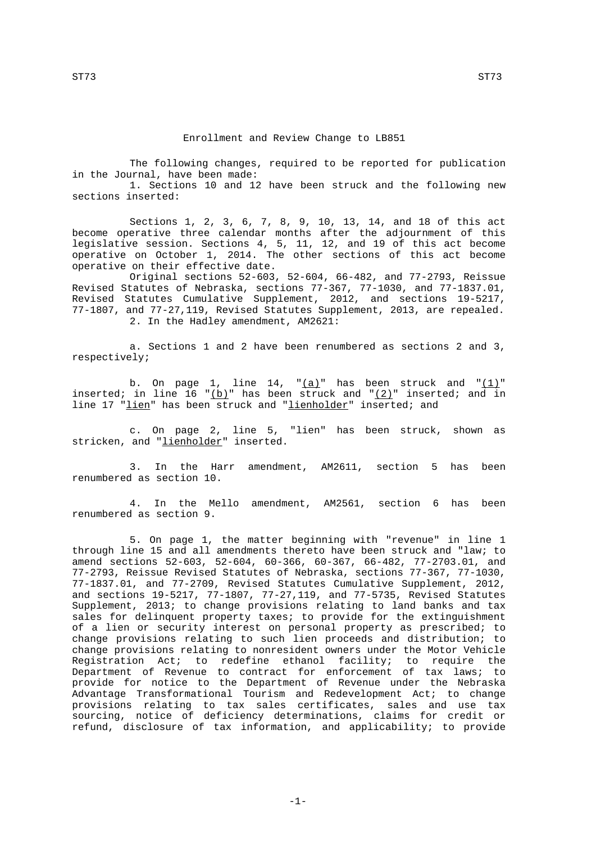The following changes, required to be reported for publication in the Journal, have been made:

1. Sections 10 and 12 have been struck and the following new sections inserted:

Sections 1, 2, 3, 6, 7, 8, 9, 10, 13, 14, and 18 of this act become operative three calendar months after the adjournment of this legislative session. Sections 4, 5, 11, 12, and 19 of this act become operative on October 1, 2014. The other sections of this act become operative on their effective date.

Original sections 52-603, 52-604, 66-482, and 77-2793, Reissue Revised Statutes of Nebraska, sections 77-367, 77-1030, and 77-1837.01, Revised Statutes Cumulative Supplement, 2012, and sections 19-5217, 77-1807, and 77-27,119, Revised Statutes Supplement, 2013, are repealed. 2. In the Hadley amendment, AM2621:

a. Sections 1 and 2 have been renumbered as sections 2 and 3, respectively;

b. On page 1, line 14,  $\frac{r(a)}{a}$  has been struck and  $\frac{r(1)}{a}$ inserted; in line 16 "(b)" has been struck and " $(2)$ " inserted; and in line 17 "lien" has been struck and "lienholder" inserted; and

c. On page 2, line 5, "lien" has been struck, shown as stricken, and "*lienholder*" inserted.

3. In the Harr amendment, AM2611, section 5 has been renumbered as section 10.

4. In the Mello amendment, AM2561, section 6 has been renumbered as section 9.

5. On page 1, the matter beginning with "revenue" in line 1 through line 15 and all amendments thereto have been struck and "law; to amend sections 52-603, 52-604, 60-366, 60-367, 66-482, 77-2703.01, and 77-2793, Reissue Revised Statutes of Nebraska, sections 77-367, 77-1030, 77-1837.01, and 77-2709, Revised Statutes Cumulative Supplement, 2012, and sections 19-5217, 77-1807, 77-27,119, and 77-5735, Revised Statutes Supplement, 2013; to change provisions relating to land banks and tax sales for delinquent property taxes; to provide for the extinguishment of a lien or security interest on personal property as prescribed; to change provisions relating to such lien proceeds and distribution; to change provisions relating to nonresident owners under the Motor Vehicle Registration Act; to redefine ethanol facility; to require the Department of Revenue to contract for enforcement of tax laws; to provide for notice to the Department of Revenue under the Nebraska Advantage Transformational Tourism and Redevelopment Act; to change provisions relating to tax sales certificates, sales and use tax sourcing, notice of deficiency determinations, claims for credit or refund, disclosure of tax information, and applicability; to provide